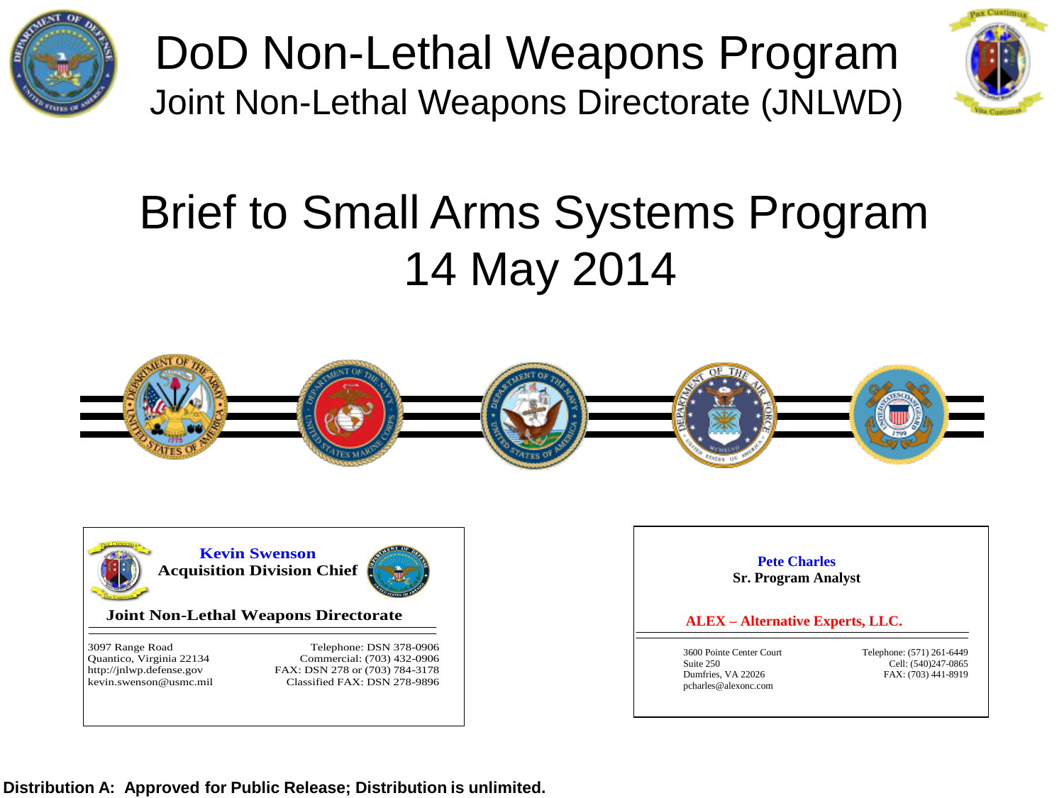

DoD Non-Lethal Weapons Program Joint Non-Lethal Weapons Directorate (JNLWD)



# Brief to Small Arms Systems Program 14 May 2014







**Distribution A: Approved for Public Release; Distribution is unlimited.**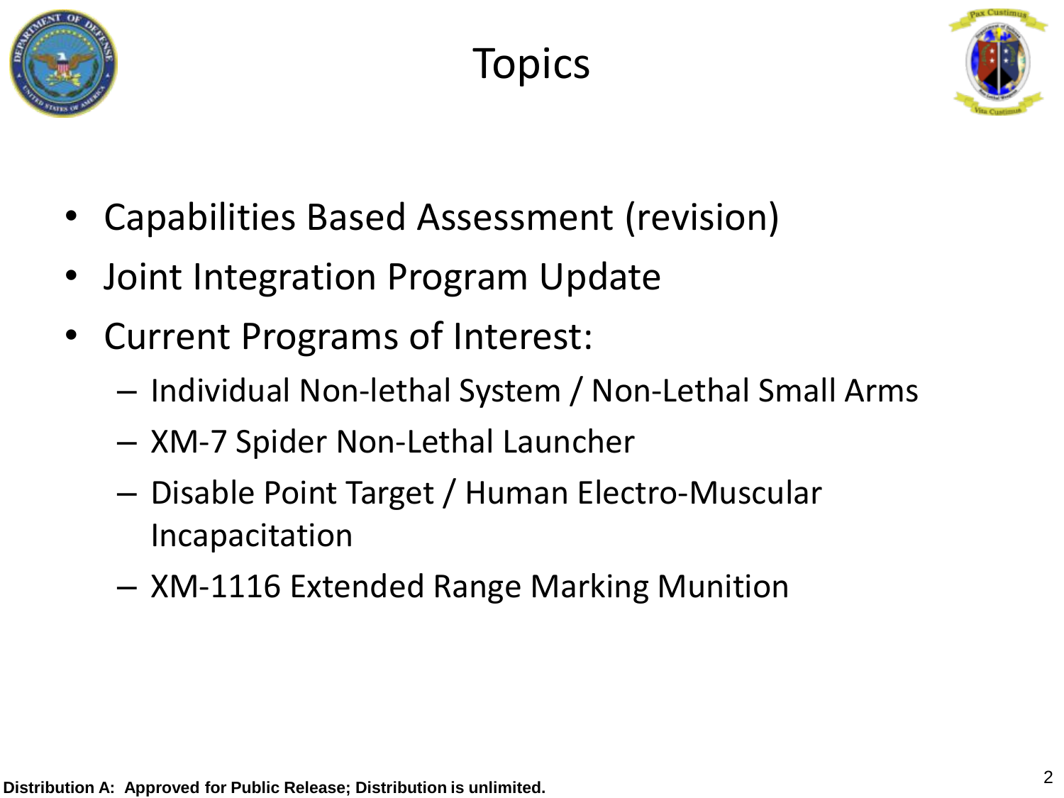





- Capabilities Based Assessment (revision)
- Joint Integration Program Update
- Current Programs of Interest:
	- Individual Non-lethal System / Non-Lethal Small Arms
	- XM-7 Spider Non-Lethal Launcher
	- Disable Point Target / Human Electro-Muscular Incapacitation
	- XM-1116 Extended Range Marking Munition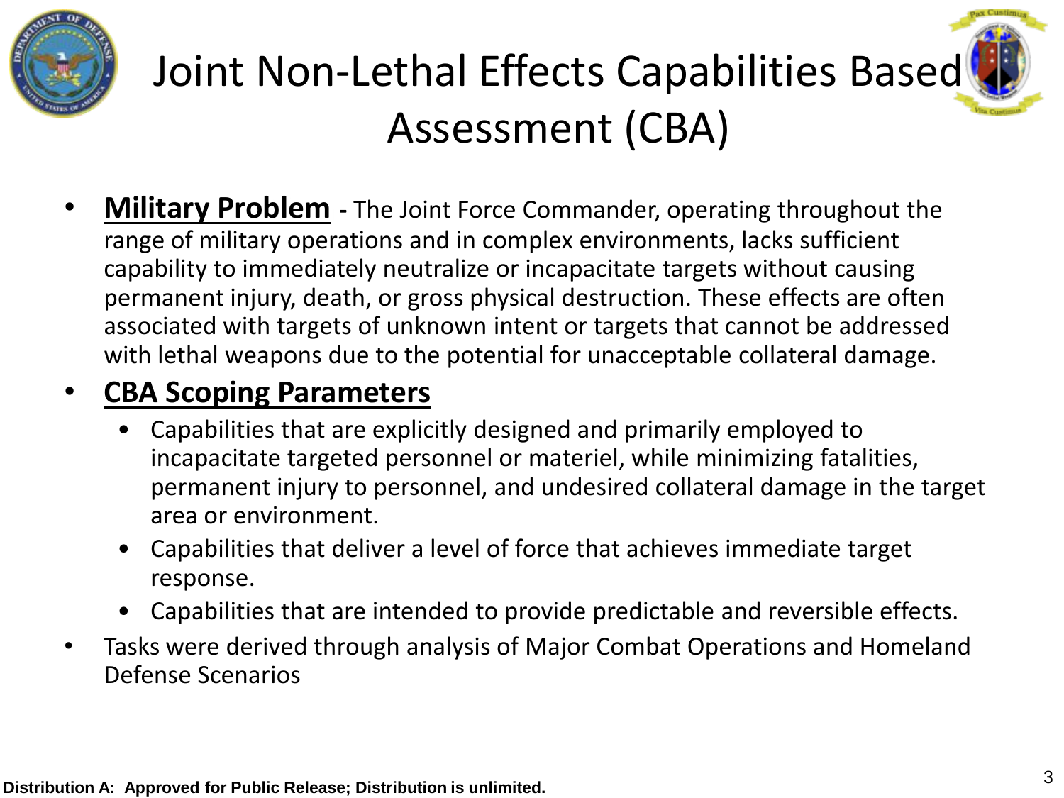



• **Military Problem -** The Joint Force Commander, operating throughout the range of military operations and in complex environments, lacks sufficient capability to immediately neutralize or incapacitate targets without causing permanent injury, death, or gross physical destruction. These effects are often associated with targets of unknown intent or targets that cannot be addressed with lethal weapons due to the potential for unacceptable collateral damage.

#### • **CBA Scoping Parameters**

- Capabilities that are explicitly designed and primarily employed to incapacitate targeted personnel or materiel, while minimizing fatalities, permanent injury to personnel, and undesired collateral damage in the target area or environment.
- Capabilities that deliver a level of force that achieves immediate target response.
- Capabilities that are intended to provide predictable and reversible effects.
- Tasks were derived through analysis of Major Combat Operations and Homeland Defense Scenarios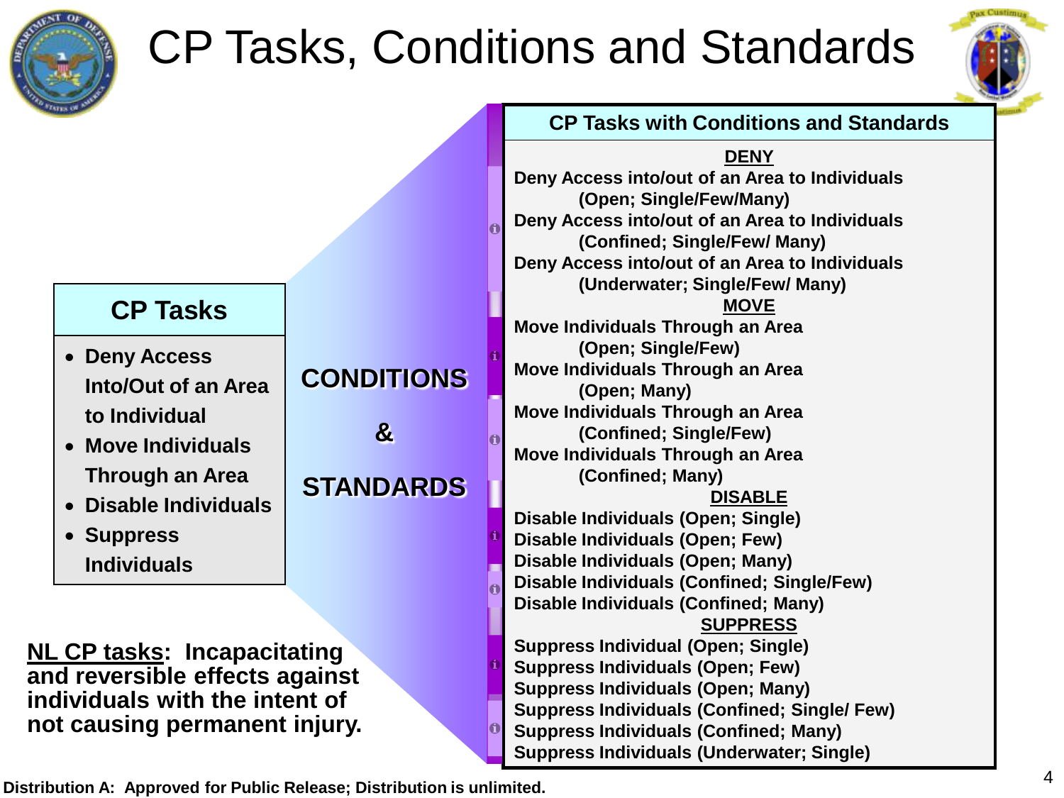

# CP Tasks, Conditions and Standards

**Suppress Individuals (Underwater; Single)**



#### **CONDITIONS & STANDARDS CP Tasks Deny Access Into/Out of an Area to Individual Move Individuals Through an Area Disable Individuals Suppress Individuals NL CP tasks: Incapacitating and reversible effects against individuals with the intent of not causing permanent injury. DENY Deny Access into/out of an Area to Individuals (Open; Single/Few/Many) Deny Access into/out of an Area to Individuals (Confined; Single/Few/ Many) Deny Access into/out of an Area to Individuals (Underwater; Single/Few/ Many) MOVE Move Individuals Through an Area (Open; Single/Few) Move Individuals Through an Area (Open; Many) Move Individuals Through an Area (Confined; Single/Few) Move Individuals Through an Area (Confined; Many) DISABLE Disable Individuals (Open; Single) Disable Individuals (Open; Few) Disable Individuals (Open; Many) Disable Individuals (Confined; Single/Few) Disable Individuals (Confined; Many) SUPPRESS Suppress Individual (Open; Single) Suppress Individuals (Open; Few) Suppress Individuals (Open; Many) Suppress Individuals (Confined; Single/ Few) Suppress Individuals (Confined; Many)**

**Distribution A: Approved for Public Release; Distribution is unlimited.**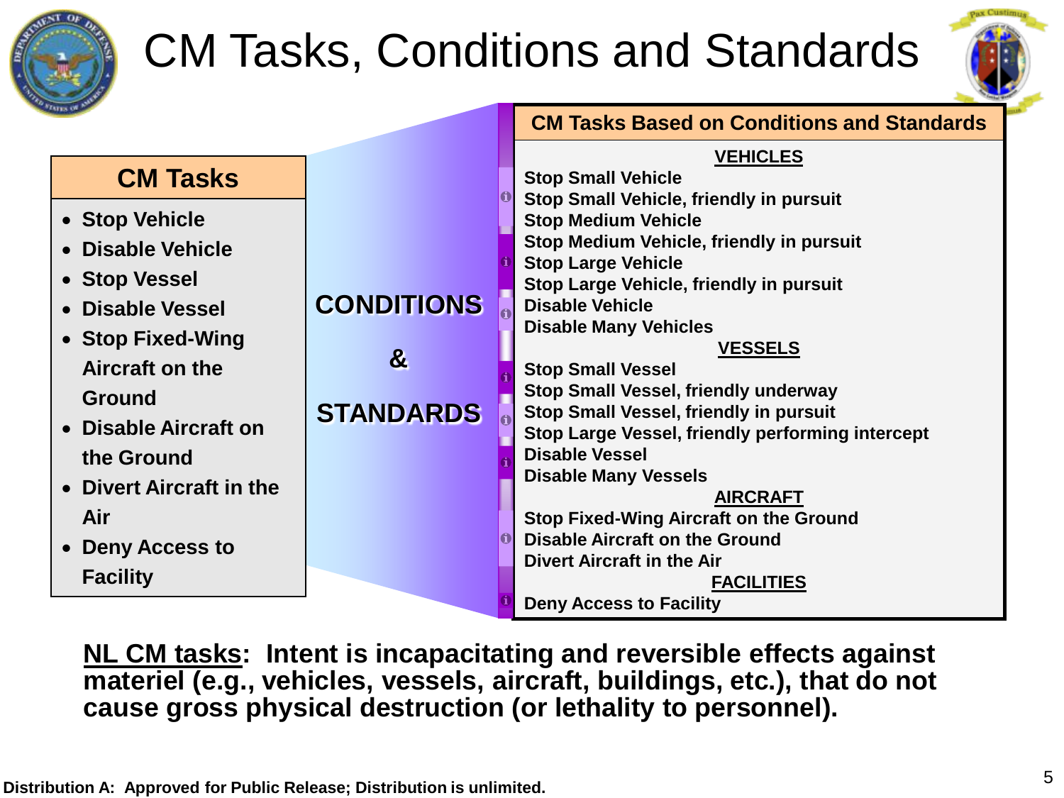

# CM Tasks, Conditions and Standards



| <b><i>NTHE O</i></b>                                      |                                  | <b>CM Tasks Based on Conditions and Standards</b>                                                                   |
|-----------------------------------------------------------|----------------------------------|---------------------------------------------------------------------------------------------------------------------|
| <b>CM Tasks</b>                                           |                                  | <b>VEHICLES</b><br><b>Stop Small Vehicle</b><br><b>Stop Small Vehicle, friendly in pursuit</b>                      |
| • Stop Vehicle<br><b>Disable Vehicle</b><br>• Stop Vessel |                                  | <b>Stop Medium Vehicle</b><br>Stop Medium Vehicle, friendly in pursuit<br><b>Stop Large Vehicle</b>                 |
| <b>Disable Vessel</b><br>• Stop Fixed-Wing                | <b>CONDITIONS</b>                | Stop Large Vehicle, friendly in pursuit<br><b>Disable Vehicle</b><br><b>Disable Many Vehicles</b><br><b>VESSELS</b> |
| Aircraft on the<br><b>Ground</b>                          | $\mathbf{g}$<br><b>STANDARDS</b> | <b>Stop Small Vessel</b><br><b>Stop Small Vessel, friendly underway</b><br>Stop Small Vessel, friendly in pursuit   |
| • Disable Aircraft on<br>the Ground                       |                                  | Stop Large Vessel, friendly performing intercept<br><b>Disable Vessel</b><br><b>Disable Many Vessels</b>            |
| • Divert Aircraft in the<br>Air                           |                                  | <b>AIRCRAFT</b><br><b>Stop Fixed-Wing Aircraft on the Ground</b><br><b>Disable Aircraft on the Ground</b>           |
| • Deny Access to<br><b>Facility</b>                       |                                  | <b>Divert Aircraft in the Air</b><br><b>FACILITIES</b><br><b>Deny Access to Facility</b>                            |

**NL CM tasks: Intent is incapacitating and reversible effects against materiel (e.g., vehicles, vessels, aircraft, buildings, etc.), that do not cause gross physical destruction (or lethality to personnel).**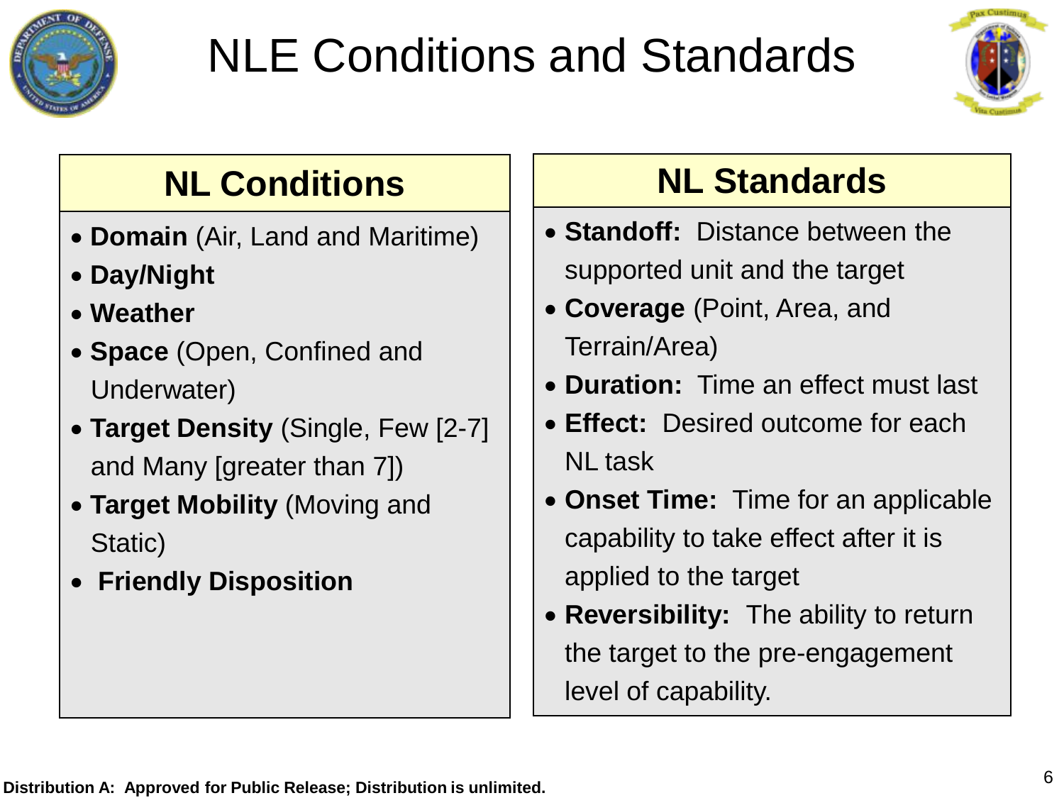

# NLE Conditions and Standards



### **NL Conditions**

- **Domain** (Air, Land and Maritime)
- **Day/Night**
- **Weather**
- **Space** (Open, Confined and Underwater)
- **Target Density** (Single, Few [2-7] and Many [greater than 7])
- **Target Mobility** (Moving and Static)
- **Friendly Disposition**

### **NL Standards**

- **Standoff:** Distance between the supported unit and the target
- **Coverage** (Point, Area, and Terrain/Area)
- **Duration:** Time an effect must last
- **Effect:** Desired outcome for each NL task
- **Onset Time:** Time for an applicable capability to take effect after it is applied to the target
- **Reversibility:** The ability to return the target to the pre-engagement level of capability.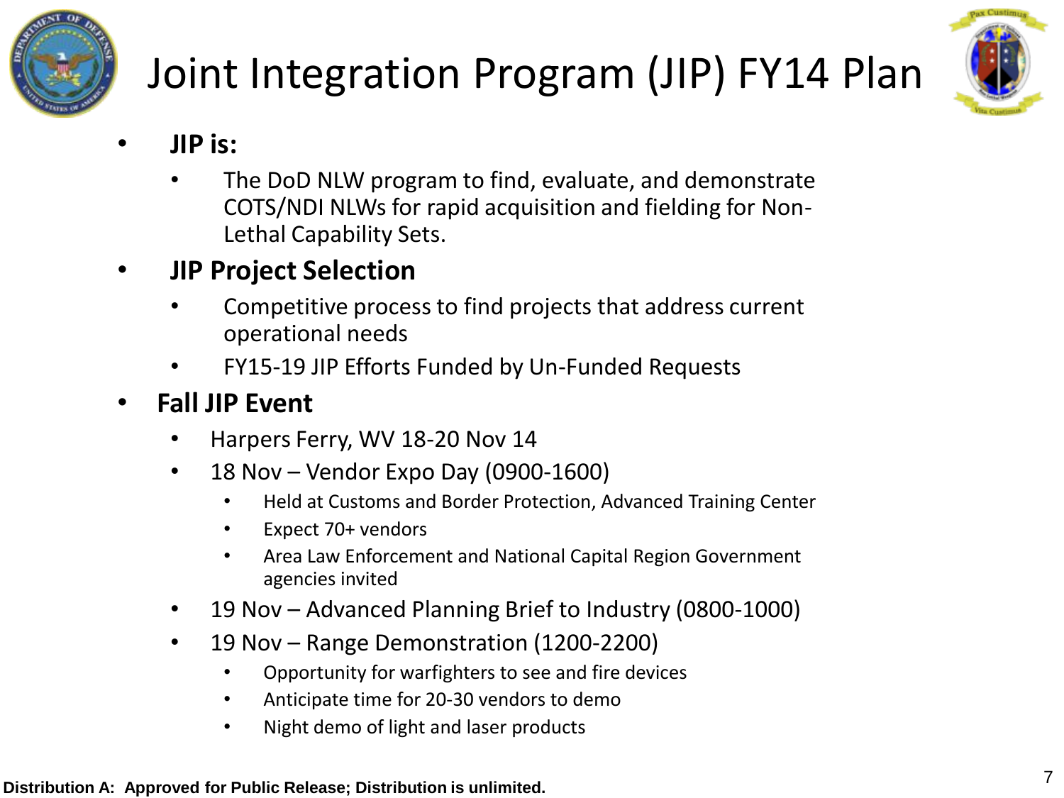

# Joint Integration Program (JIP) FY14 Plan



- **JIP is:**
	- The DoD NLW program to find, evaluate, and demonstrate COTS/NDI NLWs for rapid acquisition and fielding for Non-Lethal Capability Sets.
- **JIP Project Selection**
	- Competitive process to find projects that address current operational needs
	- FY15-19 JIP Efforts Funded by Un-Funded Requests
- **Fall JIP Event**
	- Harpers Ferry, WV 18-20 Nov 14
	- 18 Nov Vendor Expo Day (0900-1600)
		- Held at Customs and Border Protection, Advanced Training Center
		- Expect 70+ vendors
		- Area Law Enforcement and National Capital Region Government agencies invited
	- 19 Nov Advanced Planning Brief to Industry (0800-1000)
	- 19 Nov Range Demonstration (1200-2200)
		- Opportunity for warfighters to see and fire devices
		- Anticipate time for 20-30 vendors to demo
		- Night demo of light and laser products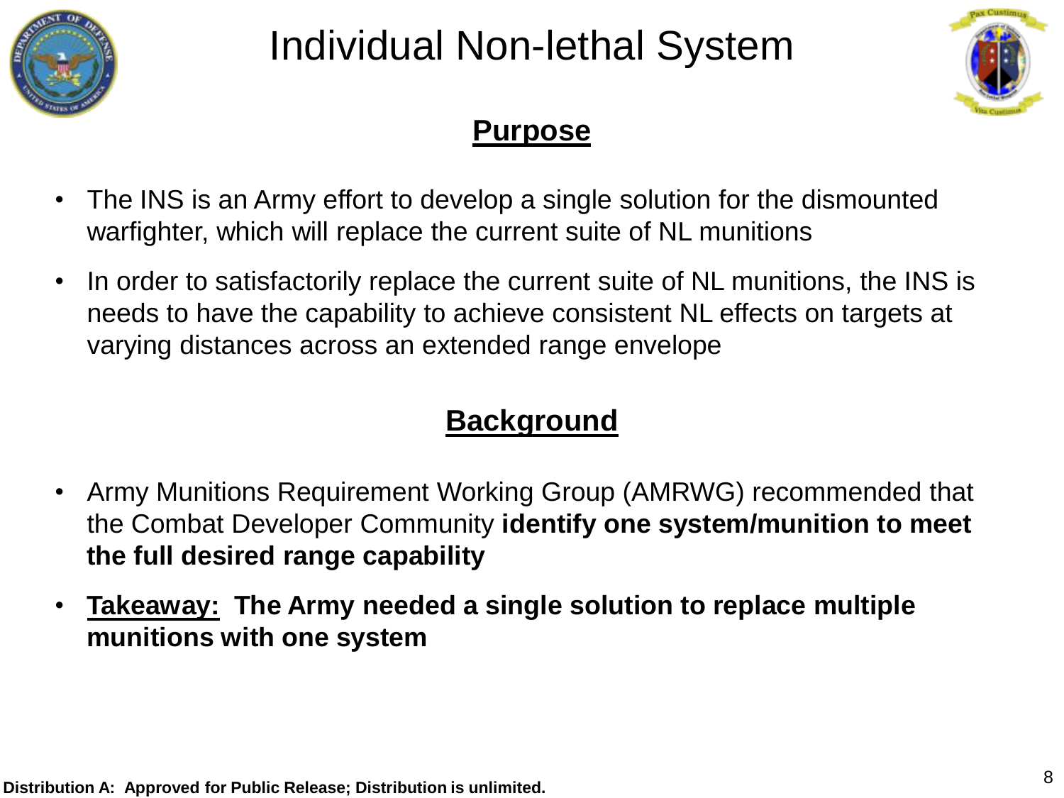

## Individual Non-lethal System



#### **Purpose**

- The INS is an Army effort to develop a single solution for the dismounted warfighter, which will replace the current suite of NL munitions
- In order to satisfactorily replace the current suite of NL munitions, the INS is needs to have the capability to achieve consistent NL effects on targets at varying distances across an extended range envelope

#### **Background**

- Army Munitions Requirement Working Group (AMRWG) recommended that the Combat Developer Community **identify one system/munition to meet the full desired range capability**
- **Takeaway: The Army needed a single solution to replace multiple munitions with one system**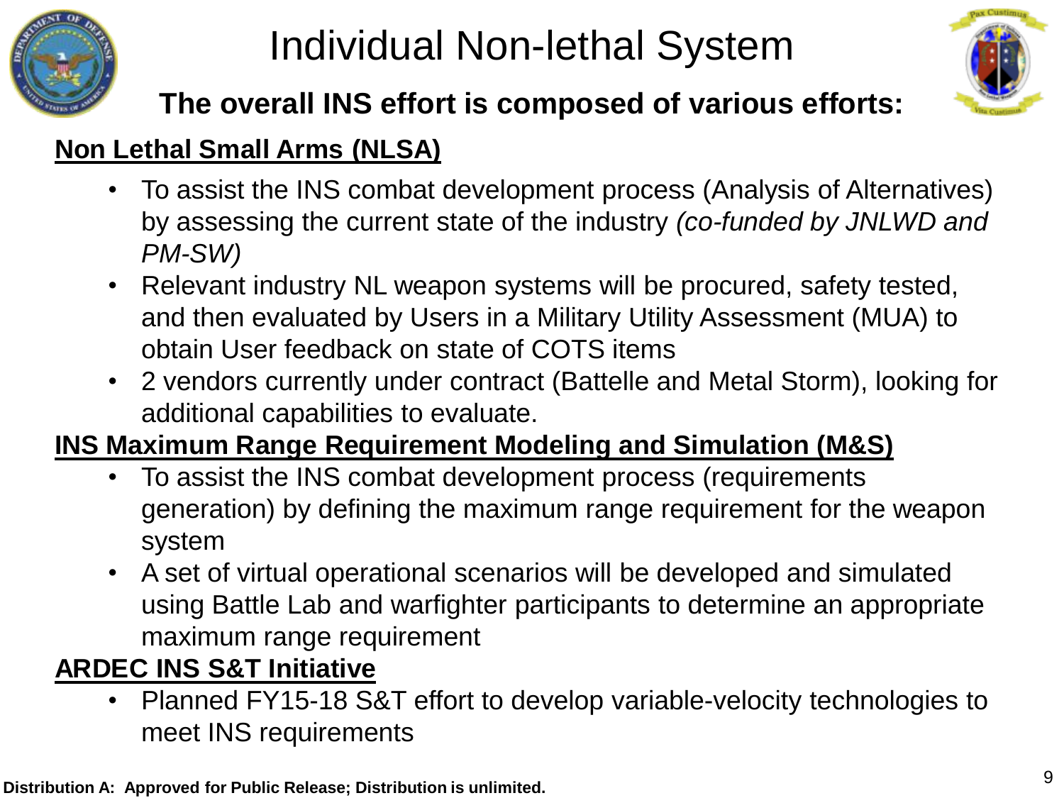

Individual Non-lethal System



#### **The overall INS effort is composed of various efforts:**

#### **Non Lethal Small Arms (NLSA)**

- To assist the INS combat development process (Analysis of Alternatives) by assessing the current state of the industry *(co-funded by JNLWD and PM-SW)*
- Relevant industry NL weapon systems will be procured, safety tested, and then evaluated by Users in a Military Utility Assessment (MUA) to obtain User feedback on state of COTS items
- 2 vendors currently under contract (Battelle and Metal Storm), looking for additional capabilities to evaluate.

#### **INS Maximum Range Requirement Modeling and Simulation (M&S)**

- To assist the INS combat development process (requirements generation) by defining the maximum range requirement for the weapon system
- A set of virtual operational scenarios will be developed and simulated using Battle Lab and warfighter participants to determine an appropriate maximum range requirement

#### **ARDEC INS S&T Initiative**

• Planned FY15-18 S&T effort to develop variable-velocity technologies to meet INS requirements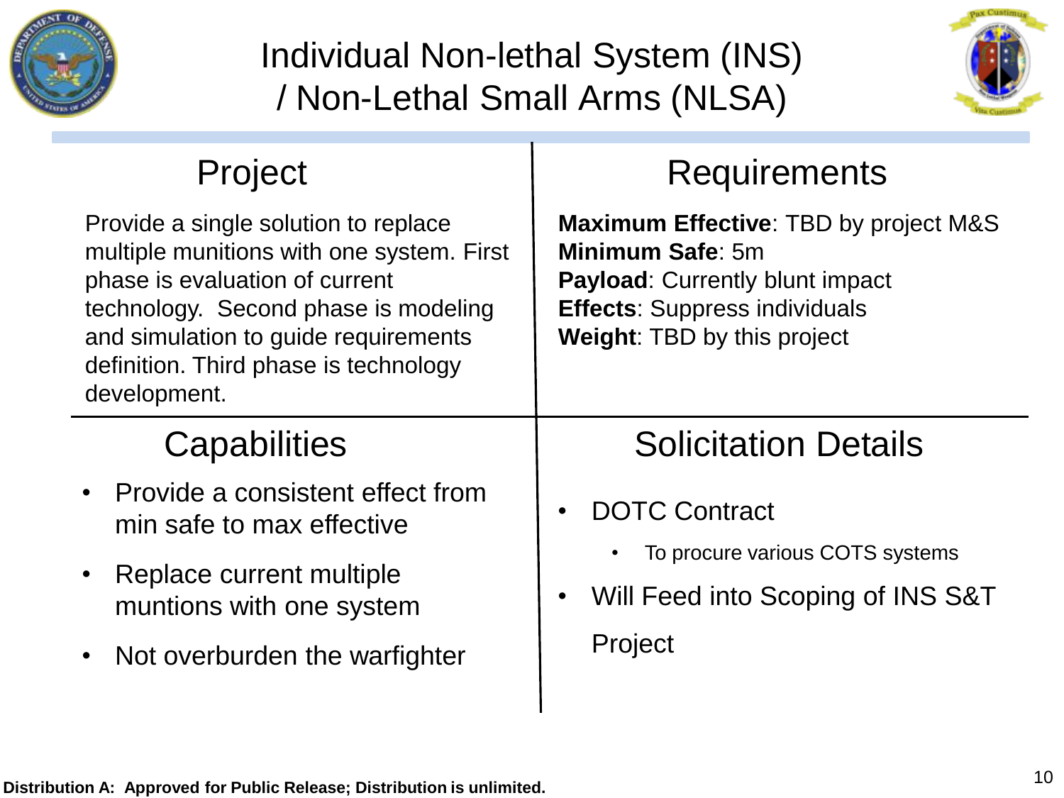

### Individual Non-lethal System (INS) / Non-Lethal Small Arms (NLSA)



### Project | Requirements

Capabilities **Solicitation Details** Provide a single solution to replace multiple munitions with one system. First phase is evaluation of current technology. Second phase is modeling and simulation to guide requirements definition. Third phase is technology development. **Maximum Effective**: TBD by project M&S **Minimum Safe**: 5m **Payload**: Currently blunt impact **Effects**: Suppress individuals **Weight**: TBD by this project • Provide a consistent effect from min safe to max effective • Replace current multiple muntions with one system Not overburden the warfighter • DOTC Contract To procure various COTS systems • Will Feed into Scoping of INS S&T Project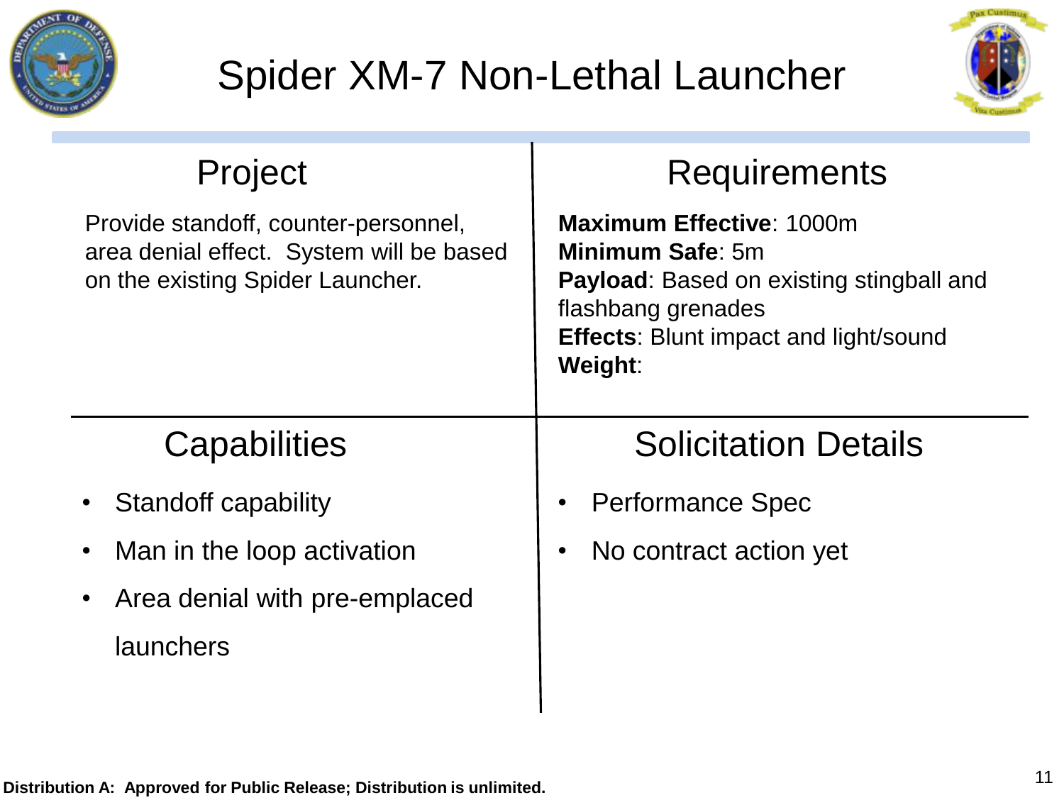



| Project                                                                                                              | <b>Requirements</b>                                                                                                                                                                            |
|----------------------------------------------------------------------------------------------------------------------|------------------------------------------------------------------------------------------------------------------------------------------------------------------------------------------------|
| Provide standoff, counter-personnel,<br>area denial effect. System will be based<br>on the existing Spider Launcher. | <b>Maximum Effective: 1000m</b><br><b>Minimum Safe: 5m</b><br><b>Payload:</b> Based on existing stingball and<br>flashbang grenades<br><b>Effects: Blunt impact and light/sound</b><br>Weight: |
| <b>Capabilities</b>                                                                                                  | <b>Solicitation Details</b>                                                                                                                                                                    |
| <b>Standoff capability</b>                                                                                           | <b>Performance Spec</b><br>$\bullet$                                                                                                                                                           |
| Man in the loop activation                                                                                           | No contract action yet<br>$\bullet$                                                                                                                                                            |
| Area denial with pre-emplaced                                                                                        |                                                                                                                                                                                                |
| launchers                                                                                                            |                                                                                                                                                                                                |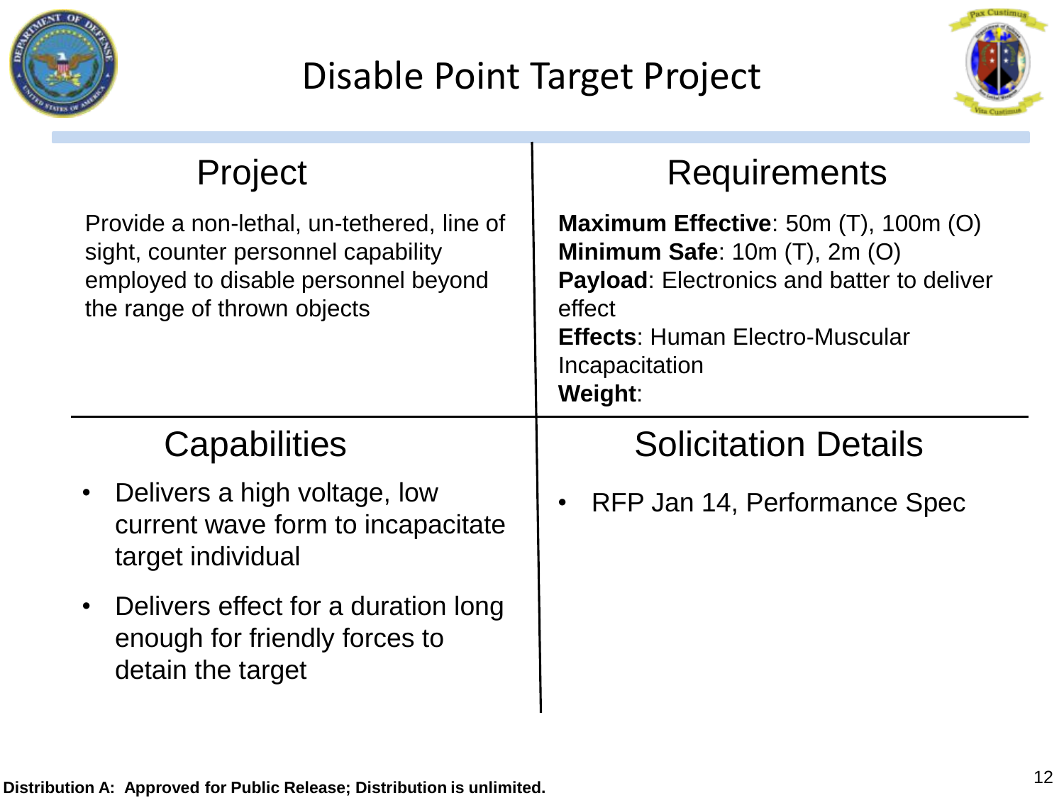

### Disable Point Target Project



| Project                                                                                                                                                  | <b>Requirements</b>                                                                                                                                                                                                         |
|----------------------------------------------------------------------------------------------------------------------------------------------------------|-----------------------------------------------------------------------------------------------------------------------------------------------------------------------------------------------------------------------------|
| Provide a non-lethal, un-tethered, line of<br>sight, counter personnel capability<br>employed to disable personnel beyond<br>the range of thrown objects | <b>Maximum Effective</b> : 50m $(T)$ , 100m $(O)$<br>Minimum Safe: $10m(T)$ , $2m(O)$<br><b>Payload:</b> Electronics and batter to deliver<br>effect<br><b>Effects: Human Electro-Muscular</b><br>Incapacitation<br>Weight: |
| Capabilities                                                                                                                                             | <b>Solicitation Details</b>                                                                                                                                                                                                 |
| Delivers a high voltage, low<br>current wave form to incapacitate<br>target individual                                                                   | RFP Jan 14, Performance Spec                                                                                                                                                                                                |
| Delivers effect for a duration long<br>enough for friendly forces to<br>detain the target                                                                |                                                                                                                                                                                                                             |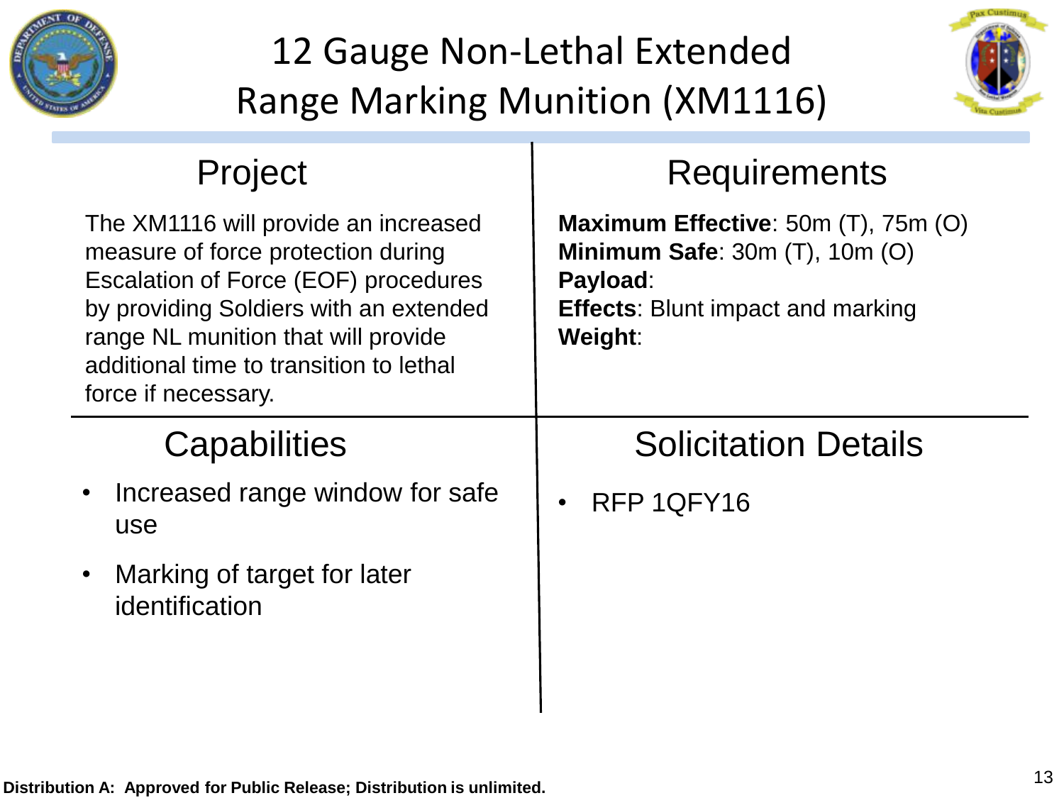

# 12 Gauge Non-Lethal Extended Range Marking Munition (XM1116)



### Project | Requirements

| The XM1116 will provide an increased<br>measure of force protection during<br>Escalation of Force (EOF) procedures<br>by providing Soldiers with an extended<br>range NL munition that will provide<br>additional time to transition to lethal<br>force if necessary. | Maximum Effective: 50m (T), 75m (O)<br>Minimum Safe: $30m$ (T), $10m$ (O)<br>Payload:<br><b>Effects: Blunt impact and marking</b><br>Weight: |
|-----------------------------------------------------------------------------------------------------------------------------------------------------------------------------------------------------------------------------------------------------------------------|----------------------------------------------------------------------------------------------------------------------------------------------|
| Capabilities                                                                                                                                                                                                                                                          | <b>Solicitation Details</b>                                                                                                                  |
| Increased range window for safe<br>$\bullet$<br><b>use</b>                                                                                                                                                                                                            | RFP 1QFY16                                                                                                                                   |
| Marking of target for later<br>$\bullet$<br>identification                                                                                                                                                                                                            |                                                                                                                                              |